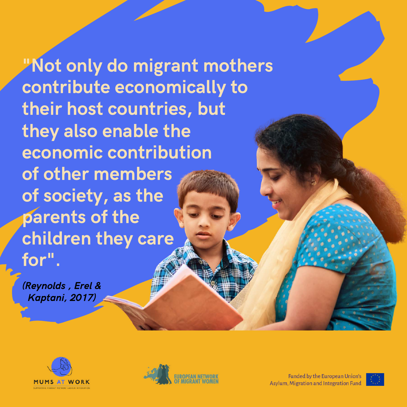"Not only do migrant mothers contribute economically to their host countries, but they also enable the economic contribution of other members of society, as the parents of the children they care for" .

(Reynolds , Erel & Kaptani, 2017)





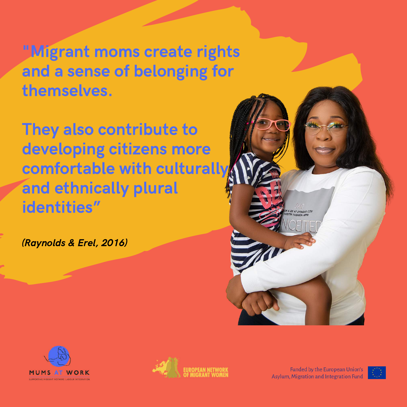"Migrant moms create rights and a sense of belonging for themselves.

They also contribute to developing citizens more comfortable with culturally and ethnically plural identities"

(Raynolds & Erel, 2016)

**MUMS AT WORK** 



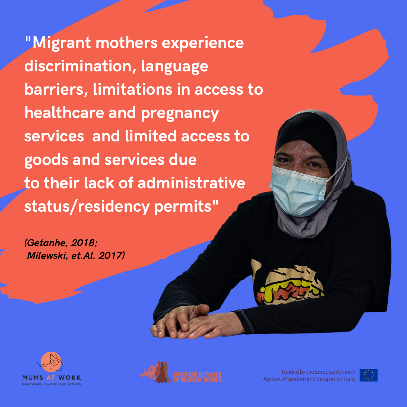"Migrant mothers experience discrimination, language barriers, limitations in access to healthcare and pregnancy services and limited access to goods and services due to their lack of administrative status/residency permits"

(Getanhe, 2018; Milewski, et.Al. 2017)





**Funded by the European Union's** Asylum, Migration and Integration Fund

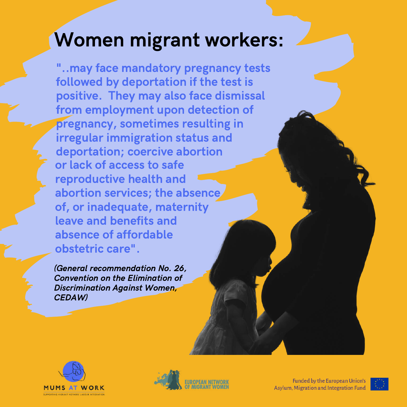## Women migrant workers:

"..may face mandatory pregnancy tests followed by deportation if the test is positive. They may also face dismissal from employment upon detection of pregnancy, sometimes resulting in irregular immigration status and deportation; coercive abortion or lack of access to safe reproductive health and abortion services; the absence of, or inadequate, maternity leave and benefits and absence of affordable obstetric care".

(General recommendation No. 26, Convention on the Elimination of Discrimination Against Women, CEDAW)





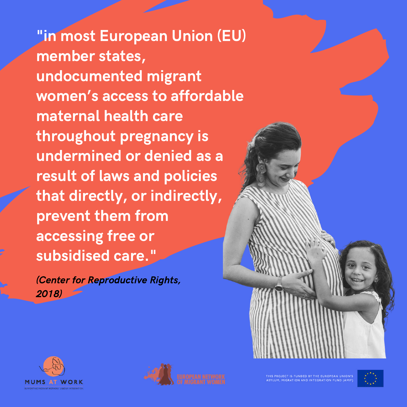"in most European Union (EU) member states, undocumented migrant women's access to affordable maternal health care throughout pregnancy is undermined or denied as a result of laws and policies that directly, or indirectly, prevent them from accessing free or subsidised care."

(Center for Reproductive Rights, 2018)





THIS PROJECT IS FUNDED BY THE EUROPEAN UNION'S ASYLUM, MIGRATION AND INTEGRATION FUND (AMIF

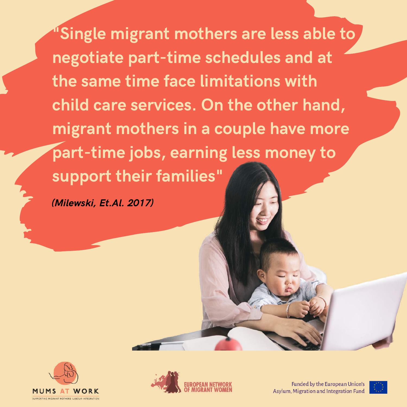Single migrant mothers are less able to negotiate part-time schedules and at the same time face limitations with child care services. On the other hand, migrant mothers in a couple have more part-time jobs, earning less money to support their families"

(Milewski, Et.Al. 2017)





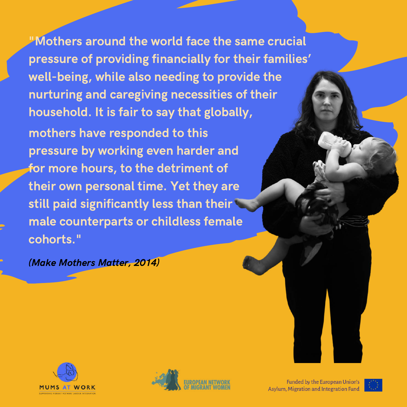"Mothers around the world face the same crucial pressure of providing financially for their families' well-being, while also needing to provide the nurturing and caregiving necessities of their household. It is fair to say that globally, mothers have responded to this

pressure by working even harder and for more hours, to the detriment of their own personal time. Yet they are still paid significantly less than their male counterparts or childless female cohorts."

(Make Mothers Matter, 2014)





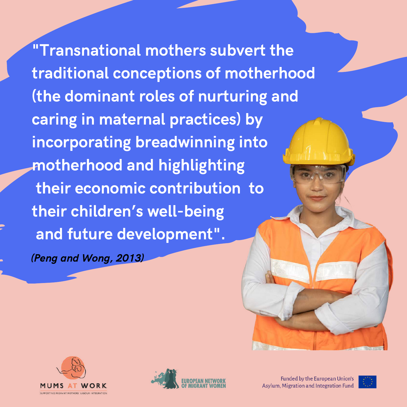"Transnational mothers subvert the traditional conceptions of motherhood (the dominant roles of nurturing and caring in maternal practices) by incorporating breadwinning into motherhood and highlighting their economic contribution to their children's well-being and future development".

(Peng and Wong, 2013)





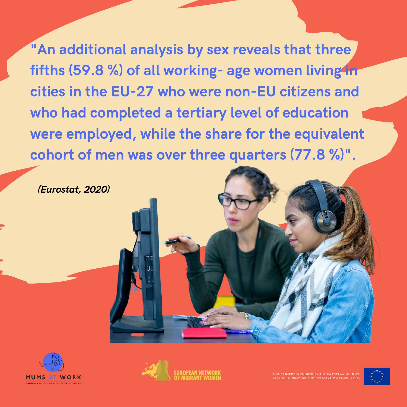"An additional analysis by sex reveals that three fifths (59.8 %) of all working- age women living in cities in the EU-27 who were non-EU citizens and who had completed a tertiary level of education were employed, while the share for the equivalent cohort of men was over three quarters (77.8 %)".

(Eurostat, 2020)





ROJECT IS FUNDED BY THE EUROPEAN UNION'. .<br>ILUM, MIGRATION AND INTEGRATION FUND (AMIR